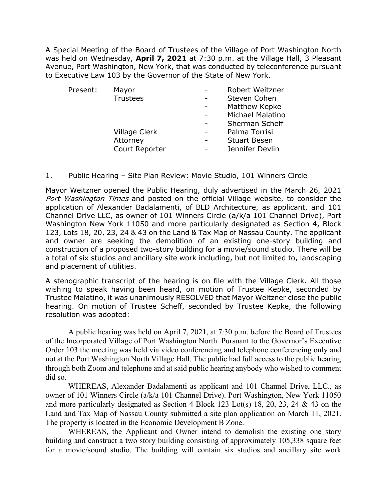A Special Meeting of the Board of Trustees of the Village of Port Washington North was held on Wednesday, **April 7, 2021** at 7:30 p.m. at the Village Hall, 3 Pleasant Avenue, Port Washington, New York, that was conducted by teleconference pursuant to Executive Law 103 by the Governor of the State of New York.

| Present: | Mayor           | Robert Weitzner         |
|----------|-----------------|-------------------------|
|          | <b>Trustees</b> | Steven Cohen            |
|          |                 | Matthew Kepke           |
|          |                 | <b>Michael Malatino</b> |
|          |                 | Sherman Scheff          |
|          | Village Clerk   | Palma Torrisi           |
|          | Attorney        | <b>Stuart Besen</b>     |
|          | Court Reporter  | Jennifer Devlin         |
|          |                 |                         |

## 1. Public Hearing - Site Plan Review: Movie Studio, 101 Winners Circle

Mayor Weitzner opened the Public Hearing, duly advertised in the March 26, 2021 Port Washington Times and posted on the official Village website, to consider the application of Alexander Badalamenti, of BLD Architecture, as applicant, and 101 Channel Drive LLC, as owner of 101 Winners Circle (a/k/a 101 Channel Drive), Port Washington New York 11050 and more particularly designated as Section 4, Block 123, Lots 18, 20, 23, 24 & 43 on the Land & Tax Map of Nassau County. The applicant and owner are seeking the demolition of an existing one-story building and construction of a proposed two-story building for a movie/sound studio. There will be a total of six studios and ancillary site work including, but not limited to, landscaping and placement of utilities.

A stenographic transcript of the hearing is on file with the Village Clerk. All those wishing to speak having been heard, on motion of Trustee Kepke, seconded by Trustee Malatino, it was unanimously RESOLVED that Mayor Weitzner close the public hearing. On motion of Trustee Scheff, seconded by Trustee Kepke, the following resolution was adopted:

A public hearing was held on April 7, 2021, at 7:30 p.m. before the Board of Trustees of the Incorporated Village of Port Washington North. Pursuant to the Governor's Executive Order 103 the meeting was held via video conferencing and telephone conferencing only and not at the Port Washington North Village Hall. The public had full access to the public hearing through both Zoom and telephone and at said public hearing anybody who wished to comment did so.

WHEREAS, Alexander Badalamenti as applicant and 101 Channel Drive, LLC., as owner of 101 Winners Circle (a/k/a 101 Channel Drive). Port Washington, New York 11050 and more particularly designated as Section 4 Block 123 Lot(s) 18, 20, 23, 24 & 43 on the Land and Tax Map of Nassau County submitted a site plan application on March 11, 2021. The property is located in the Economic Development B Zone.

 WHEREAS, the Applicant and Owner intend to demolish the existing one story building and construct a two story building consisting of approximately 105,338 square feet for a movie/sound studio. The building will contain six studios and ancillary site work